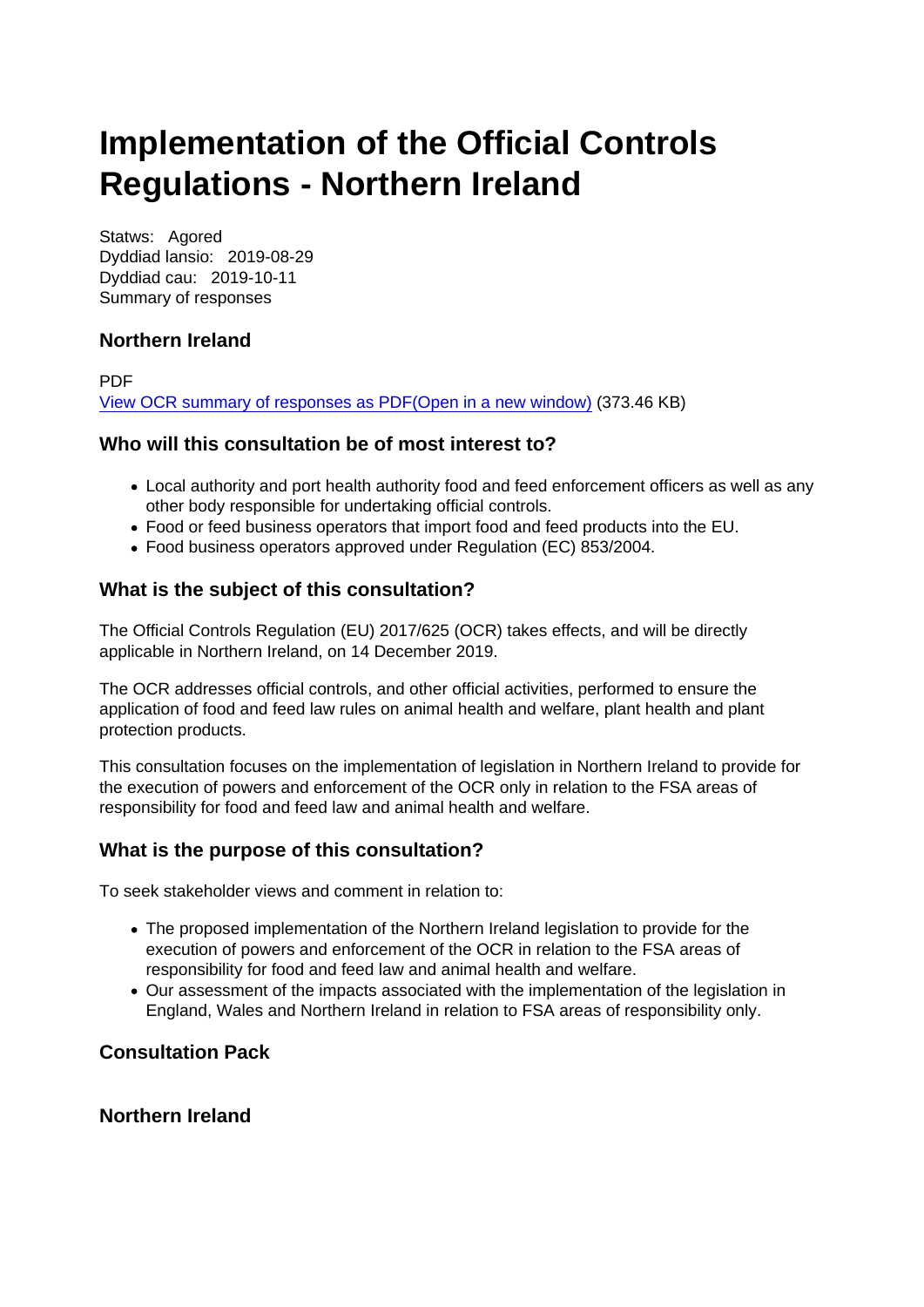# Implementation of the Official Controls Regulations - Northern Ireland

Statws: Agored Dyddiad lansio: 2019-08-29 Dyddiad cau: 2019-10-11 Summary of responses

#### Northern Ireland

PDF [View OCR summary of responses as PDF\(Open in a new window\)](https://www.food.gov.uk/sites/default/files/media/document/ocr-cons-responses.pdf) (373.46 KB)

Who will this consultation be of most interest to?

- Local authority and port health authority food and feed enforcement officers as well as any other body responsible for undertaking official controls.
- Food or feed business operators that import food and feed products into the EU.
- Food business operators approved under Regulation (EC) 853/2004.

#### What is the subject of this consultation?

The Official Controls Regulation (EU) 2017/625 (OCR) takes effects, and will be directly applicable in Northern Ireland, on 14 December 2019.

The OCR addresses official controls, and other official activities, performed to ensure the application of food and feed law rules on animal health and welfare, plant health and plant protection products.

This consultation focuses on the implementation of legislation in Northern Ireland to provide for the execution of powers and enforcement of the OCR only in relation to the FSA areas of responsibility for food and feed law and animal health and welfare.

#### What is the purpose of this consultation?

To seek stakeholder views and comment in relation to:

- The proposed implementation of the Northern Ireland legislation to provide for the execution of powers and enforcement of the OCR in relation to the FSA areas of responsibility for food and feed law and animal health and welfare.
- Our assessment of the impacts associated with the implementation of the legislation in England, Wales and Northern Ireland in relation to FSA areas of responsibility only.

Consultation Pack

Northern Ireland